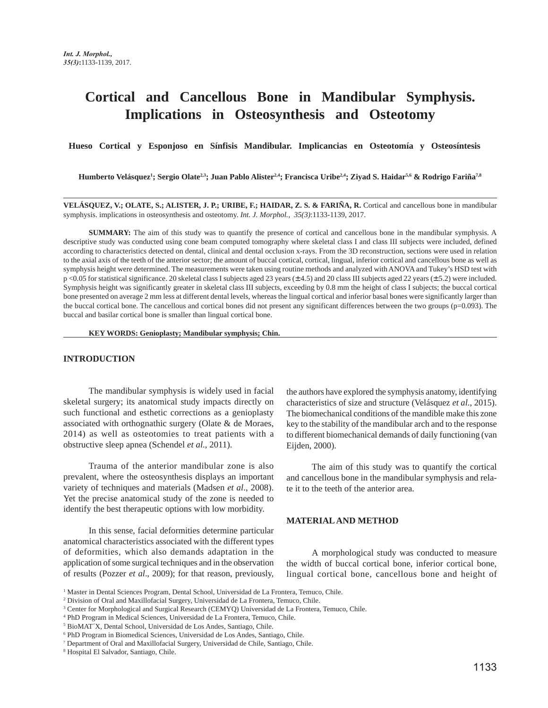# **Cortical and Cancellous Bone in Mandibular Symphysis. Implications in Osteosynthesis and Osteotomy**

 **Hueso Cortical y Esponjoso en Sínfisis Mandibular. Implicancias en Osteotomía y Osteosíntesis** 

Humberto Velásquez<sup>ı</sup>; Sergio Olate<sup>2,3</sup>; Juan Pablo Alister<sup>2,4</sup>; Francisca Uribe<sup>2,4</sup>; Ziyad S. Haidar<sup>5,6</sup> & Rodrigo Fariña<sup>7,8</sup>

**VELÁSQUEZ, V.; OLATE, S.; ALISTER, J. P.; URIBE, F.; HAIDAR, Z. S. & FARIÑA, R.** Cortical and cancellous bone in mandibular symphysis. implications in osteosynthesis and osteotomy. *Int. J. Morphol., 35(3)*:1133-1139, 2017.

**SUMMARY:** The aim of this study was to quantify the presence of cortical and cancellous bone in the mandibular symphysis. A descriptive study was conducted using cone beam computed tomography where skeletal class I and class III subjects were included, defined according to characteristics detected on dental, clinical and dental occlusion x-rays. From the 3D reconstruction, sections were used in relation to the axial axis of the teeth of the anterior sector; the amount of buccal cortical, cortical, lingual, inferior cortical and cancellous bone as well as symphysis height were determined. The measurements were taken using routine methods and analyzed with ANOVA and Tukey's HSD test with  $p$  <0.05 for statistical significance. 20 skeletal class I subjects aged 23 years ( $\pm$  4.5) and 20 class III subjects aged 22 years ( $\pm$  5.2) were included. Symphysis height was significantly greater in skeletal class III subjects, exceeding by 0.8 mm the height of class I subjects; the buccal cortical bone presented on average 2 mm less at different dental levels, whereas the lingual cortical and inferior basal bones were significantly larger than the buccal cortical bone. The cancellous and cortical bones did not present any significant differences between the two groups (p=0.093). The buccal and basilar cortical bone is smaller than lingual cortical bone.

**KEY WORDS: Genioplasty; Mandibular symphysis; Chin.**

#### **INTRODUCTION**

The mandibular symphysis is widely used in facial skeletal surgery; its anatomical study impacts directly on such functional and esthetic corrections as a genioplasty associated with orthognathic surgery (Olate & de Moraes, 2014) as well as osteotomies to treat patients with a obstructive sleep apnea (Schendel *et al*., 2011).

Trauma of the anterior mandibular zone is also prevalent, where the osteosynthesis displays an important variety of techniques and materials (Madsen *et al*., 2008). Yet the precise anatomical study of the zone is needed to identify the best therapeutic options with low morbidity.

In this sense, facial deformities determine particular anatomical characteristics associated with the different types of deformities, which also demands adaptation in the application of some surgical techniques and in the observation of results (Pozzer *et al*., 2009); for that reason, previously,

the authors have explored the symphysis anatomy, identifying characteristics of size and structure (Velásquez *et al*., 2015). The biomechanical conditions of the mandible make this zone key to the stability of the mandibular arch and to the response to different biomechanical demands of daily functioning (van Eijden, 2000).

The aim of this study was to quantify the cortical and cancellous bone in the mandibular symphysis and relate it to the teeth of the anterior area.

#### **MATERIAL AND METHOD**

A morphological study was conducted to measure the width of buccal cortical bone, inferior cortical bone, lingual cortical bone, cancellous bone and height of

8 Hospital El Salvador, Santiago, Chile.

<sup>&</sup>lt;sup>1</sup> Master in Dental Sciences Program, Dental School, Universidad de La Frontera, Temuco, Chile.

<sup>2</sup> Division of Oral and Maxillofacial Surgery, Universidad de La Frontera, Temuco, Chile.

<sup>&</sup>lt;sup>3</sup> Center for Morphological and Surgical Research (CEMYQ) Universidad de La Frontera, Temuco, Chile.

<sup>4</sup> PhD Program in Medical Sciences, Universidad de La Frontera, Temuco, Chile.

<sup>5</sup> BioMAT´X, Dental School, Universidad de Los Andes, Santiago, Chile.

<sup>6</sup> PhD Program in Biomedical Sciences, Universidad de Los Andes, Santiago, Chile.

<sup>7</sup> Department of Oral and Maxillofacial Surgery, Universidad de Chile, Santiago, Chile.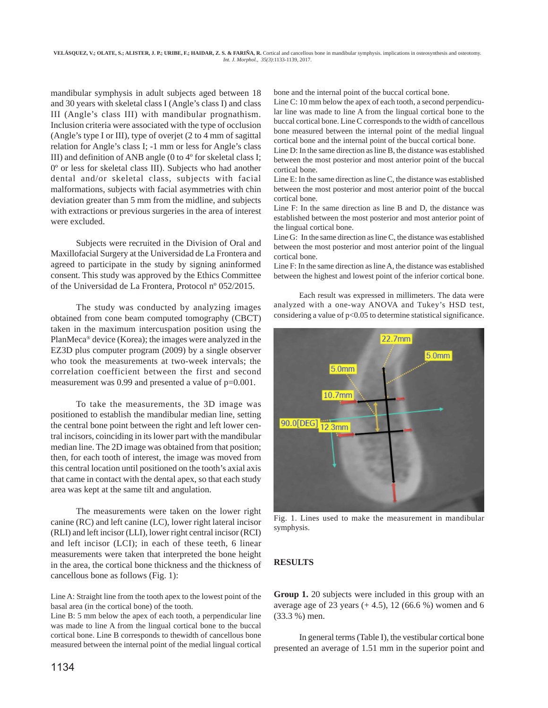mandibular symphysis in adult subjects aged between 18 and 30 years with skeletal class I (Angle's class I) and class III (Angle's class III) with mandibular prognathism. Inclusion criteria were associated with the type of occlusion (Angle's type I or III), type of overjet (2 to 4 mm of sagittal relation for Angle's class I; -1 mm or less for Angle's class III) and definition of ANB angle (0 to 4º for skeletal class I; 0º or less for skeletal class III). Subjects who had another dental and/or skeletal class, subjects with facial malformations, subjects with facial asymmetries with chin deviation greater than 5 mm from the midline, and subjects with extractions or previous surgeries in the area of interest were excluded.

Subjects were recruited in the Division of Oral and Maxillofacial Surgery at the Universidad de La Frontera and agreed to participate in the study by signing aninformed consent. This study was approved by the Ethics Committee of the Universidad de La Frontera, Protocol nº 052/2015.

The study was conducted by analyzing images obtained from cone beam computed tomography (CBCT) taken in the maximum intercuspation position using the PlanMeca® device (Korea); the images were analyzed in the EZ3D plus computer program (2009) by a single observer who took the measurements at two-week intervals; the correlation coefficient between the first and second measurement was 0.99 and presented a value of  $p=0.001$ .

To take the measurements, the 3D image was positioned to establish the mandibular median line, setting the central bone point between the right and left lower central incisors, coinciding in its lower part with the mandibular median line. The 2D image was obtained from that position; then, for each tooth of interest, the image was moved from this central location until positioned on the tooth's axial axis that came in contact with the dental apex, so that each study area was kept at the same tilt and angulation.

The measurements were taken on the lower right canine (RC) and left canine (LC), lower right lateral incisor (RLI) and left incisor (LLI), lower right central incisor (RCI) and left incisor (LCI); in each of these teeth, 6 linear measurements were taken that interpreted the bone height in the area, the cortical bone thickness and the thickness of cancellous bone as follows (Fig. 1):

Line A: Straight line from the tooth apex to the lowest point of the basal area (in the cortical bone) of the tooth.

Line B: 5 mm below the apex of each tooth, a perpendicular line was made to line A from the lingual cortical bone to the buccal cortical bone. Line B corresponds to thewidth of cancellous bone measured between the internal point of the medial lingual cortical

bone measured between the internal point of the medial lingual cortical bone and the internal point of the buccal cortical bone.

> Line D: In the same direction as line B, the distance was established between the most posterior and most anterior point of the buccal cortical bone.

> Line C: 10 mm below the apex of each tooth, a second perpendicular line was made to line A from the lingual cortical bone to the buccal cortical bone. Line C corresponds to the width of cancellous

bone and the internal point of the buccal cortical bone.

Line E: In the same direction as line C, the distance was established between the most posterior and most anterior point of the buccal cortical bone.

Line F: In the same direction as line B and D, the distance was established between the most posterior and most anterior point of the lingual cortical bone.

Line G: In the same direction as line C, the distance was established between the most posterior and most anterior point of the lingual cortical bone.

Line F: In the same direction as line A, the distance was established between the highest and lowest point of the inferior cortical bone.

Each result was expressed in millimeters. The data were analyzed with a one-way ANOVA and Tukey's HSD test, considering a value of  $p<0.05$  to determine statistical significance.



Fig. 1. Lines used to make the measurement in mandibular symphysis.

## **RESULTS**

**Group 1.** 20 subjects were included in this group with an average age of 23 years (+ 4.5), 12 (66.6 %) women and 6 (33.3 %) men.

In general terms (Table I), the vestibular cortical bone presented an average of 1.51 mm in the superior point and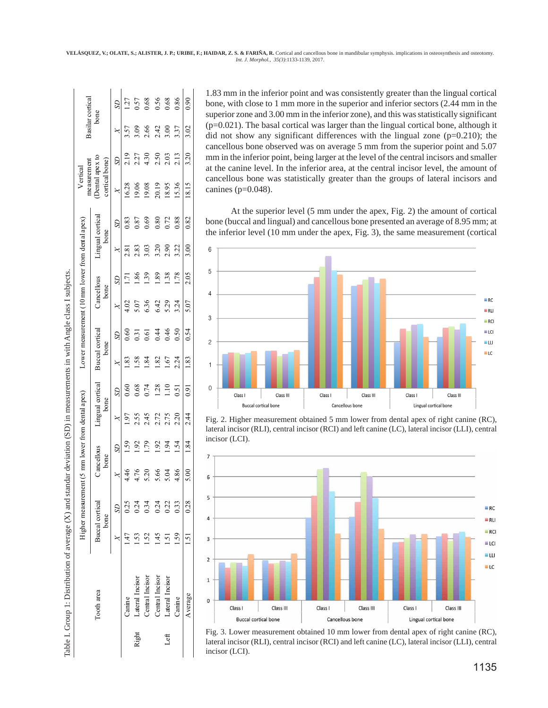|       | Table I. Group 1: Distribution of average $(X)$ and standar deviation $(SD)$ in measurements in with Angle class I subjects |      |                                                  |            |            |          |                  |                         |                 |                    |                  |                                                  |               |                                  |      |                  |      |
|-------|-----------------------------------------------------------------------------------------------------------------------------|------|--------------------------------------------------|------------|------------|----------|------------------|-------------------------|-----------------|--------------------|------------------|--------------------------------------------------|---------------|----------------------------------|------|------------------|------|
|       |                                                                                                                             |      | Higher measurement (5 mm lower from dental apex) |            |            |          |                  |                         |                 |                    |                  | Lower measurement (10 mm lower from dental apex) |               | measurement<br>Vertical          |      | Basilar cortical |      |
|       | Tooth area                                                                                                                  |      | Buccal cortical<br>bone                          | Cancellous | bone       | bone     | Lingual cortical | Buccal cortical<br>bone |                 | Cancellous<br>bone |                  | Lingual cortical                                 | bone          | Dental apex to<br>cortical bone) |      | bone             |      |
|       |                                                                                                                             |      | SD,                                              | $\times$   | SD         | $\times$ | $\mathbb{S}$     | $\times$                | S <sub>D</sub>  | ×                  | SD               | ×                                                | $\mathcal{L}$ | ×                                | SD   | ×                |      |
|       | Canine                                                                                                                      |      | 0.25                                             | 4.46       | $\ddot{5}$ | $-61$    | <b>SSC</b>       | 83                      | 0.60            | 4.02               |                  | 2.81                                             | 0.83          | 16.28                            | 2.19 | 3.57             |      |
| Right | Lateral Incisor                                                                                                             |      | 0.24                                             | 4.76       | 92         | 2.55     | 0.68             | .58                     | 0.31            | 5.07               | $\frac{86}{ }$   | 2.83                                             | 0.87          | 19.06                            | 2.27 | 3.09             | 0.57 |
|       | Central Incisor                                                                                                             |      | 0.34                                             | 520        | 1.79       | 2.45     | 0.74             | 1.84                    | $\overline{61}$ | 6.36               | $\overline{.}39$ | 3.03                                             | 0.69          | 19.08                            | 4.30 | 2.66             | 0.68 |
|       | Central Incisor                                                                                                             | 45   | 0.24                                             | 5.66       | 1.92       | 2.72     | 28               | 1.82                    | 0.44            | 6.42               | $\overline{89}$  | 3.20                                             | 0.80          | 20.19                            | 2.50 | 2.42             | 0.56 |
| Let   | Lateral Incisor                                                                                                             |      | 0.22                                             | 5.04       | 1.94       | 2.75     | $\frac{1}{2}$    | 1.67                    | 0.46            | 5.29               | 1.38             | 2.90                                             | 0.72          | 18.95                            | 2.03 | 3.00             | 0.68 |
|       | Canine                                                                                                                      | .59  | 0.33                                             | 4.86       | 1.54       | 2.20     | 0.51             | 2.24                    | 0.50            | 3.24               | 1.78             | 3.22                                             | 0.88          | 15.36                            | 2.13 | 3.37             | 0.86 |
|       | Average                                                                                                                     | 1.51 | 0.28                                             | 5.00       | 1.84       | 2.44     | 0.91             | 1.83                    | 0.54            | 5.07               | 2.05             | 3.00                                             | 0.82          | 18.15                            | 3.20 | 3.02             | 0.90 |

1.83 mm in the inferior point and was consistently greater than the lingual cortical bone, with close to 1 mm more in the superior and inferior sectors (2.44 mm in the superior zone and 3.00 mm in the inferior zone), and this was statistically significant  $(p=0.021)$ . The basal cortical was larger than the lingual cortical bone, although it did not show any significant differences with the lingual zone  $(p=0.210)$ ; the cancellous bone observed was on average 5 mm from the superior point and 5.07 mm in the inferior point, being larger at the level of the central incisors and smaller at the canine level. In the inferior area, at the central incisor level, the amount of cancellous bone was statistically greater than the groups of lateral incisors and canines ( $p=0.048$ ).

At the superior level (5 mm under the apex, Fig. 2) the amount of cortical bone (buccal and lingual) and cancellous bone presented an average of 8.95 mm; at the inferior level (10 mm under the apex, Fig. 3), the same measurement (cortical



Fig. 2. Higher measurement obtained 5 mm lower from dental apex of right canine (RC), lateral incisor (RLI), central incisor (RCI) and left canine (LC), lateral incisor (LLI), central incisor (LCI).



Fig. 3. Lower measurement obtained 10 mm lower from dental apex of right canine (RC), lateral incisor (RLI), central incisor (RCI) and left canine (LC), lateral incisor (LLI), central incisor (LCI).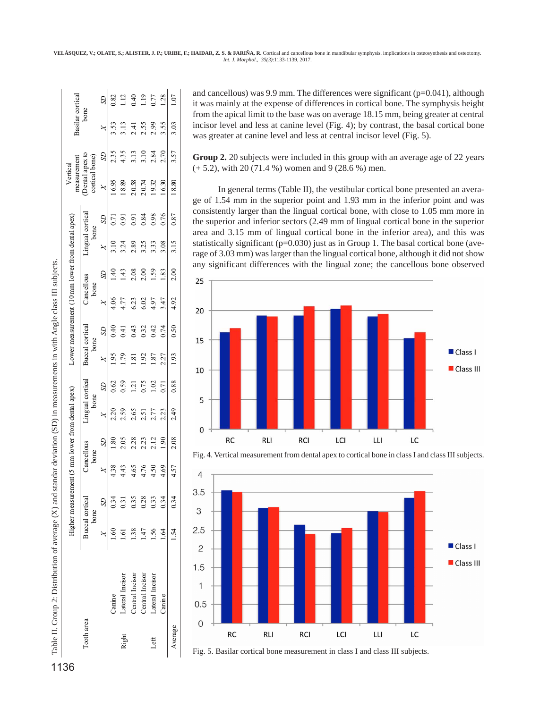|            | Table II. Group 2: Distribution of average (X) and standar deviation (SD) in measurements in with Angle class III subjects. |                |                                                  |      |                    |                          |                 |                         |      |                    |            |                                                  |                   |                                  |      |                  |                |
|------------|-----------------------------------------------------------------------------------------------------------------------------|----------------|--------------------------------------------------|------|--------------------|--------------------------|-----------------|-------------------------|------|--------------------|------------|--------------------------------------------------|-------------------|----------------------------------|------|------------------|----------------|
|            |                                                                                                                             |                | Higher measurement (5 mm lower from dental apex) |      |                    |                          |                 |                         |      |                    |            | Lower measurement (10 mm lower from dental apex) |                   | measurement<br>Vertical          |      | Basilar cortical |                |
| Tooth area |                                                                                                                             |                | <b>Buccal</b> cortical<br>bone                   |      | Cancellous<br>bone | Lingual cortical<br>bone |                 | Buccal cortical<br>bone |      | Cancellous<br>bone |            | Lingual cortical<br>bone                         |                   | Dental apex to<br>cortical bone) |      | bone             |                |
|            |                                                                                                                             |                | $\overline{dS}$                                  |      | SD                 |                          | $\mathcal{S}$   |                         | SD   |                    | S          |                                                  | S <sub>D</sub>    |                                  |      | ×                | SD             |
|            | Canine                                                                                                                      | $\frac{6}{2}$  | 0.34                                             | 4.38 | $\frac{80}{3}$     | 2.20                     | 0.62            | 95                      |      | 4.06               |            |                                                  | 55                | 16.95                            | 235  | 3.53             | 0.82           |
| Right      | Lateral Incisor                                                                                                             | $\overline{6}$ | 0.31                                             | 4.43 | 2.05               | 2.59                     | 0.59            | $^{0.1}$                | 0.41 | 4.77               | $\ddot{4}$ | 3.24                                             | $\overline{0.91}$ | 18.89                            | 435  | 3.13             | $\frac{12}{1}$ |
|            | Central Incisor                                                                                                             | 38             | 0.35                                             | 4.65 | 2.28               | 2.65                     | $\overline{21}$ | ¤.                      | 0.43 | 6.23               | 2.08       | 2.89                                             | 5<br>0.91         | 20.58                            | 3.13 | 2.41             | 0.40           |
|            | Central Incisor                                                                                                             | $-47$          | 0.28                                             | 4.76 | 2.23               | 2.51                     | 0.75            | 92                      | 0.32 | 6.02               | 2.00       | 3.25                                             | 0.84              | 20.74                            | 3.10 | 2.55             | $\frac{1}{2}$  |
| Left       | Lateral Incisor                                                                                                             | .56            | 0.33                                             | 4.50 | 2.12               | 2.77                     | 1.02            | 1.87                    | 0.42 | 4.97               | 1.59       | 3.33                                             | 0.98              | 19.32                            | 2.84 | 2.99             | 0.77           |
|            | Canine                                                                                                                      | $-64$          | 0.34                                             | 4.69 | 0.61               | 2.23                     | 0.71            | 2.27                    | 0.74 | 3.47               | 1.83       | 3.08                                             | 0.76              | 16.30                            | 2.70 | 3.55             | 1.28           |
| Average    |                                                                                                                             | 1.54           | 0.34                                             | 4.57 | 2.08               | 2.49                     | 0.88            | 1.93                    | 0.50 | 4.92               | 2.00       | 3.15                                             | 0.87              | 18.80                            | 3.57 | 3.03             | 1.07           |

**VELÁSQUEZ, V.; OLATE, S.; ALISTER, J. P.; URIBE, F.; HAIDAR, Z. S. & FARIÑA, R.** Cortical and cancellous bone in mandibular symphysis. implications in osteosynthesis and osteotomy. *Int. J. Morphol., 35(3)*:1133-1139, 2017.

> and cancellous) was 9.9 mm. The differences were significant (p=0.041), although it was mainly at the expense of differences in cortical bone. The symphysis height from the apical limit to the base was on average 18.15 mm, being greater at central incisor level and less at canine level (Fig. 4); by contrast, the basal cortical bone was greater at canine level and less at central incisor level (Fig. 5).

> **Group 2.** 20 subjects were included in this group with an average age of 22 years (+ 5.2), with 20 (71.4 %) women and 9 (28.6 %) men.

> In general terms (Table II), the vestibular cortical bone presented an average of 1.54 mm in the superior point and 1.93 mm in the inferior point and was consistently larger than the lingual cortical bone, with close to 1.05 mm more in the superior and inferior sectors (2.49 mm of lingual cortical bone in the superior area and 3.15 mm of lingual cortical bone in the inferior area), and this was statistically significant ( $p=0.030$ ) just as in Group 1. The basal cortical bone (average of 3.03 mm) was larger than the lingual cortical bone, although it did not show any significant differences with the lingual zone; the cancellous bone observed







Fig. 5. Basilar cortical bone measurement in class I and class III subjects.

etandar daviation (SD) in hup  $\tilde{\mathbf{v}}$  $\mathbf{r}$  $\alpha$ <sup>f</sup> as  $2.$  Distribution  $\mathbf{r}$ ć  $\mathsf{r}$ Table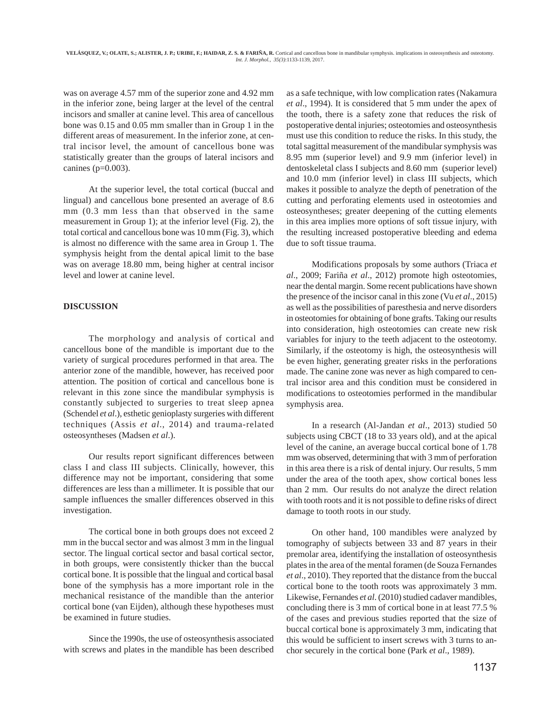was on average 4.57 mm of the superior zone and 4.92 mm in the inferior zone, being larger at the level of the central incisors and smaller at canine level. This area of cancellous bone was 0.15 and 0.05 mm smaller than in Group 1 in the different areas of measurement. In the inferior zone, at central incisor level, the amount of cancellous bone was statistically greater than the groups of lateral incisors and canines ( $p=0.003$ ).

At the superior level, the total cortical (buccal and lingual) and cancellous bone presented an average of 8.6 mm (0.3 mm less than that observed in the same measurement in Group 1); at the inferior level (Fig. 2), the total cortical and cancellous bone was 10 mm (Fig. 3), which is almost no difference with the same area in Group 1. The symphysis height from the dental apical limit to the base was on average 18.80 mm, being higher at central incisor level and lower at canine level.

### **DISCUSSION**

The morphology and analysis of cortical and cancellous bone of the mandible is important due to the variety of surgical procedures performed in that area. The anterior zone of the mandible, however, has received poor attention. The position of cortical and cancellous bone is relevant in this zone since the mandibular symphysis is constantly subjected to surgeries to treat sleep apnea (Schendel *et al*.), esthetic genioplasty surgeries with different techniques (Assis *et al*., 2014) and trauma-related osteosyntheses (Madsen *et al*.).

Our results report significant differences between class I and class III subjects. Clinically, however, this difference may not be important, considering that some differences are less than a millimeter. It is possible that our sample influences the smaller differences observed in this investigation.

The cortical bone in both groups does not exceed 2 mm in the buccal sector and was almost 3 mm in the lingual sector. The lingual cortical sector and basal cortical sector, in both groups, were consistently thicker than the buccal cortical bone. It is possible that the lingual and cortical basal bone of the symphysis has a more important role in the mechanical resistance of the mandible than the anterior cortical bone (van Eijden), although these hypotheses must be examined in future studies.

Since the 1990s, the use of osteosynthesis associated with screws and plates in the mandible has been described as a safe technique, with low complication rates (Nakamura *et al*., 1994). It is considered that 5 mm under the apex of the tooth, there is a safety zone that reduces the risk of postoperative dental injuries; osteotomies and osteosynthesis must use this condition to reduce the risks. In this study, the total sagittal measurement of the mandibular symphysis was 8.95 mm (superior level) and 9.9 mm (inferior level) in dentoskeletal class I subjects and 8.60 mm (superior level) and 10.0 mm (inferior level) in class III subjects, which makes it possible to analyze the depth of penetration of the cutting and perforating elements used in osteotomies and osteosyntheses; greater deepening of the cutting elements in this area implies more options of soft tissue injury, with the resulting increased postoperative bleeding and edema due to soft tissue trauma.

Modifications proposals by some authors (Triaca *et al*., 2009; Fariña *et al*., 2012) promote high osteotomies, near the dental margin. Some recent publications have shown the presence of the incisor canal in this zone (Vu *et al*., 2015) as well as the possibilities of paresthesia and nerve disorders in osteotomies for obtaining of bone grafts. Taking our results into consideration, high osteotomies can create new risk variables for injury to the teeth adjacent to the osteotomy. Similarly, if the osteotomy is high, the osteosynthesis will be even higher, generating greater risks in the perforations made. The canine zone was never as high compared to central incisor area and this condition must be considered in modifications to osteotomies performed in the mandibular symphysis area.

In a research (Al-Jandan *et al*., 2013) studied 50 subjects using CBCT (18 to 33 years old), and at the apical level of the canine, an average buccal cortical bone of 1.78 mm was observed, determining that with 3 mm of perforation in this area there is a risk of dental injury. Our results, 5 mm under the area of the tooth apex, show cortical bones less than 2 mm. Our results do not analyze the direct relation with tooth roots and it is not possible to define risks of direct damage to tooth roots in our study.

On other hand, 100 mandibles were analyzed by tomography of subjects between 33 and 87 years in their premolar area, identifying the installation of osteosynthesis plates in the area of the mental foramen (de Souza Fernandes *et al*., 2010). They reported that the distance from the buccal cortical bone to the tooth roots was approximately 3 mm. Likewise, Fernandes *et al*. (2010) studied cadaver mandibles, concluding there is 3 mm of cortical bone in at least 77.5 % of the cases and previous studies reported that the size of buccal cortical bone is approximately 3 mm, indicating that this would be sufficient to insert screws with 3 turns to anchor securely in the cortical bone (Park *et al*., 1989).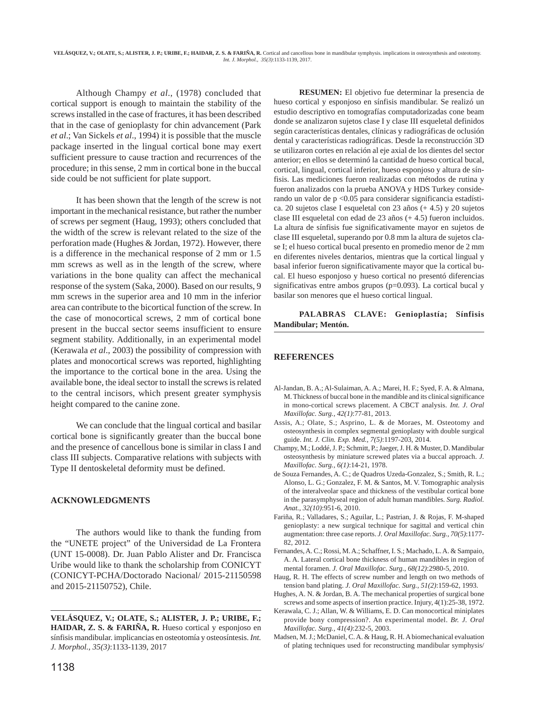Although Champy *et al*., (1978) concluded that cortical support is enough to maintain the stability of the screws installed in the case of fractures, it has been described that in the case of genioplasty for chin advancement (Park *et al*.; Van Sickels *et al*., 1994) it is possible that the muscle package inserted in the lingual cortical bone may exert sufficient pressure to cause traction and recurrences of the procedure; in this sense, 2 mm in cortical bone in the buccal side could be not sufficient for plate support.

It has been shown that the length of the screw is not important in the mechanical resistance, but rather the number of screws per segment (Haug, 1993); others concluded that the width of the screw is relevant related to the size of the perforation made (Hughes & Jordan, 1972). However, there is a difference in the mechanical response of 2 mm or 1.5 mm screws as well as in the length of the screw, where variations in the bone quality can affect the mechanical response of the system (Saka, 2000). Based on our results, 9 mm screws in the superior area and 10 mm in the inferior area can contribute to the bicortical function of the screw. In the case of monocortical screws, 2 mm of cortical bone present in the buccal sector seems insufficient to ensure segment stability. Additionally, in an experimental model (Kerawala *et al*., 2003) the possibility of compression with plates and monocortical screws was reported, highlighting the importance to the cortical bone in the area. Using the available bone, the ideal sector to install the screws is related to the central incisors, which present greater symphysis height compared to the canine zone.

We can conclude that the lingual cortical and basilar cortical bone is significantly greater than the buccal bone and the presence of cancellous bone is similar in class I and class III subjects. Comparative relations with subjects with Type II dentoskeletal deformity must be defined.

### **ACKNOWLEDGMENTS**

The authors would like to thank the funding from the "UNETE project" of the Universidad de La Frontera (UNT 15-0008). Dr. Juan Pablo Alister and Dr. Francisca Uribe would like to thank the scholarship from CONICYT (CONICYT-PCHA/Doctorado Nacional/ 2015-21150598 and 2015-21150752), Chile.

**VELÁSQUEZ, V.; OLATE, S.; ALISTER, J. P.; URIBE, F.;** HAIDAR, Z. S. & FARIÑA, R. Hueso cortical y esponjoso en sínfisis mandibular. implicancias en osteotomía y osteosíntesis. *Int. J. Morphol., 35(3)*:1133-1139, 2017

**RESUMEN:** El objetivo fue determinar la presencia de hueso cortical y esponjoso en sínfisis mandibular. Se realizó un estudio descriptivo en tomografías computadorizadas cone beam donde se analizaron sujetos clase I y clase III esqueletal definidos según características dentales, clínicas y radiográficas de oclusión dental y características radiográficas. Desde la reconstrucción 3D se utilizaron cortes en relación al eje axial de los dientes del sector anterior; en ellos se determinó la cantidad de hueso cortical bucal, cortical, lingual, cortical inferior, hueso esponjoso y altura de sínfisis. Las mediciones fueron realizadas con métodos de rutina y fueron analizados con la prueba ANOVA y HDS Turkey considerando un valor de p <0.05 para considerar significancia estadística. 20 sujetos clase I esqueletal con 23 años (+ 4.5) y 20 sujetos clase III esqueletal con edad de 23 años (+ 4.5) fueron incluidos. La altura de sínfisis fue significativamente mayor en sujetos de clase III esqueletal, superando por 0.8 mm la altura de sujetos clase I; el hueso cortical bucal presento en promedio menor de 2 mm en diferentes niveles dentarios, mientras que la cortical lingual y basal inferior fueron significativamente mayor que la cortical bucal. El hueso esponjoso y hueso cortical no presentó diferencias significativas entre ambos grupos (p=0.093). La cortical bucal y basilar son menores que el hueso cortical lingual.

**PALABRAS CLAVE: Genioplastía; Sínfisis Mandibular; Mentón.**

## **REFERENCES**

- Al-Jandan, B. A.; Al-Sulaiman, A. A.; Marei, H. F.; Syed, F. A. & Almana, M. Thickness of buccal bone in the mandible and its clinical significance in mono-cortical screws placement. A CBCT analysis. *Int. J. Oral Maxillofac. Surg., 42(1)*:77-81, 2013.
- Assis, A.; Olate, S.; Asprino, L. & de Moraes, M. Osteotomy and osteosynthesis in complex segmental genioplasty with double surgical guide. *Int. J. Clin. Exp. Med., 7(5)*:1197-203, 2014.
- Champy, M.; Loddé, J. P.; Schmitt, P.; Jaeger, J. H. & Muster, D. Mandibular osteosynthesis by miniature screwed plates via a buccal approach. *J. Maxillofac. Surg., 6(1)*:14-21, 1978.
- de Souza Fernandes, A. C.; de Quadros Uzeda-Gonzalez, S.; Smith, R. L.; Alonso, L. G.; Gonzalez, F. M. & Santos, M. V. Tomographic analysis of the interalveolar space and thickness of the vestibular cortical bone in the parasymphyseal region of adult human mandibles. *Surg. Radiol. Anat., 32(10)*:951-6, 2010.
- Fariña, R.; Valladares, S.; Aguilar, L.; Pastrian, J. & Rojas, F. M-shaped genioplasty: a new surgical technique for sagittal and vertical chin augmentation: three case reports. *J. Oral Maxillofac. Surg., 70(5)*:1177- 82, 2012.
- Fernandes, A. C.; Rossi, M. A.; Schaffner, I. S.; Machado, L. A. & Sampaio, A. A. Lateral cortical bone thickness of human mandibles in region of mental foramen. *J. Oral Maxillofac. Surg., 68(12)*:2980-5, 2010.
- Haug, R. H. The effects of screw number and length on two methods of tension band plating. *J. Oral Maxillofac. Surg., 51(2)*:159-62, 1993.
- Hughes, A. N. & Jordan, B. A. The mechanical properties of surgical bone screws and some aspects of insertion practice. Injury, 4(1):25-38, 1972.
- Kerawala, C. J.; Allan, W. & Williams, E. D. Can monocortical miniplates provide bony compression?. An experimental model. *Br. J. Oral Maxillofac. Surg., 41(4)*:232-5, 2003.
- Madsen, M. J.; McDaniel, C. A. & Haug, R. H. A biomechanical evaluation of plating techniques used for reconstructing mandibular symphysis/